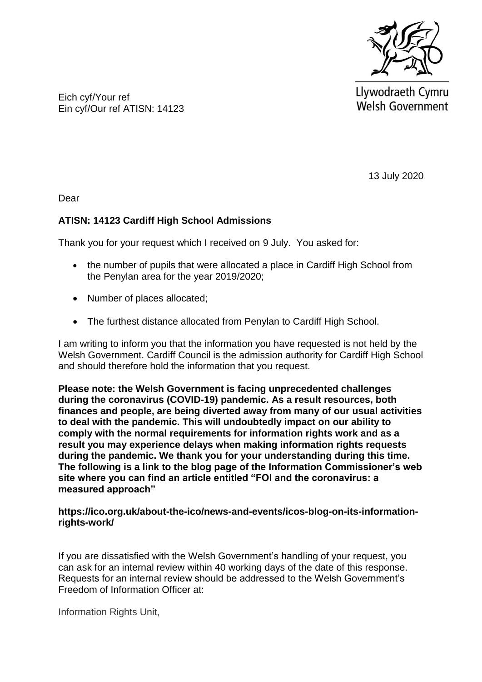

Llywodraeth Cymru **Welsh Government** 

Eich cyf/Your ref Ein cyf/Our ref ATISN: 14123

13 July 2020

Dear

## **ATISN: 14123 Cardiff High School Admissions**

Thank you for your request which I received on 9 July. You asked for:

- the number of pupils that were allocated a place in Cardiff High School from the Penylan area for the year 2019/2020;
- Number of places allocated;
- The furthest distance allocated from Penylan to Cardiff High School.

I am writing to inform you that the information you have requested is not held by the Welsh Government. Cardiff Council is the admission authority for Cardiff High School and should therefore hold the information that you request.

**Please note: the Welsh Government is facing unprecedented challenges during the coronavirus (COVID-19) pandemic. As a result resources, both finances and people, are being diverted away from many of our usual activities to deal with the pandemic. This will undoubtedly impact on our ability to comply with the normal requirements for information rights work and as a result you may experience delays when making information rights requests during the pandemic. We thank you for your understanding during this time. The following is a link to the blog page of the Information Commissioner's web site where you can find an article entitled "FOI and the coronavirus: a measured approach"**

**https://ico.org.uk/about-the-ico/news-and-events/icos-blog-on-its-informationrights-work/**

If you are dissatisfied with the Welsh Government's handling of your request, you can ask for an internal review within 40 working days of the date of this response. Requests for an internal review should be addressed to the Welsh Government's Freedom of Information Officer at:

Information Rights Unit,